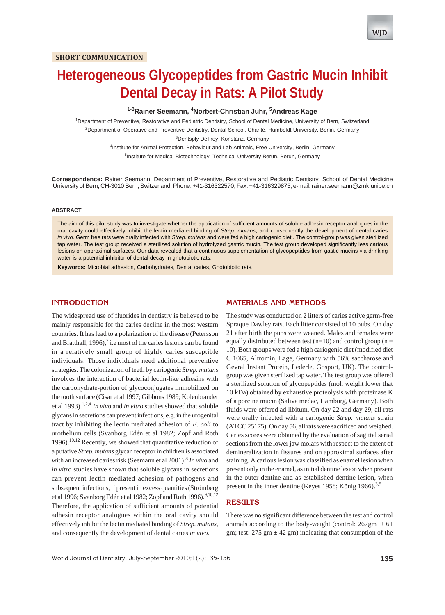# **Heterogeneous Glycopeptides from Gastric Mucin Inhibit Dental Decay in Rats: A Pilot Study**

### **1-3Rainer Seemann, 4 Norbert-Christian Juhr, 5 Andreas Kage**

1 Department of Preventive, Restorative and Pediatric Dentistry, School of Dental Medicine, University of Bern, Switzerland 2 Department of Operative and Preventive Dentistry, Dental School, Charité, Humboldt-University, Berlin, Germany <sup>3</sup>Dentsply DeTrey, Konstanz, Germany <sup>4</sup>Institute for Animal Protection, Behaviour and Lab Animals, Free University, Berlin, Germany

<sup>5</sup>Institute for Medical Biotechnology, Technical University Berun, Berun, Germany

**Correspondence:** Rainer Seemann, Department of Preventive, Restorative and Pediatric Dentistry, School of Dental Medicine University of Bern, CH-3010 Bern, Switzerland, Phone: +41-316322570, Fax: +41-316329875, e-mail: rainer.seemann@zmk.unibe.ch

#### **ABSTRACT**

The aim of this pilot study was to investigate whether the application of sufficient amounts of soluble adhesin receptor analogues in the oral cavity could effectively inhibit the lectin mediated binding of *Strep. mutans*, and consequently the development of dental caries *in vivo*. Germ free rats were orally infected with *Strep. mutans* and were fed a high cariogenic diet . The control-group was given sterilized tap water. The test group received a sterilized solution of hydrolyzed gastric mucin. The test group developed significantly less carious lesions on approximal surfaces. Our data revealed that a continuous supplementation of glycopeptides from gastic mucins via drinking water is a potential inhibitor of dental decay in gnotobiotic rats.

**Keywords:** Microbial adhesion, Carbohydrates, Dental caries, Gnotobiotic rats.

#### **INTRODUCTION**

The widespread use of fluorides in dentistry is believed to be mainly responsible for the caries decline in the most western countries. It has lead to a polarization of the disease (Petersson and Bratthall, 1996),<sup>7</sup> i.e most of the caries lesions can be found in a relatively small group of highly caries susceptible individuals. Those individuals need additional preventive strategies. The colonization of teeth by cariogenic *Strep. mutans* involves the interaction of bacterial lectin-like adhesins with the carbohydrate-portion of glycoconjugates immobilized on the tooth surface (Cisar et al 1997; Gibbons 1989; Kolenbrander et al 1993).1,2,4 *In vivo* and *in vitro* studies showed that soluble glycans in secretions can prevent infections, e.g. in the urogenital tract by inhibiting the lectin mediated adhesion of *E. coli* to urothelium cells (Svanborg Edén et al 1982; Zopf and Roth 1996).<sup>10,12</sup> Recently, we showed that quantitative reduction of a putative *Strep. mutans* glycan receptor in children is associated with an increased caries risk (Seemann et al 2001).<sup>8</sup> In vivo and *in vitro* studies have shown that soluble glycans in secretions can prevent lectin mediated adhesion of pathogens and subsequent infections, if present in excess quantities (Strömberg et al 1996; Svanborg Edén et al 1982; Zopf and Roth 1996).<sup>9,10,12</sup> Therefore, the application of sufficient amounts of potential adhesin receptor analogues within the oral cavity should effectively inhibit the lectin mediated binding of *Strep. mutans*, and consequently the development of dental caries *in vivo*.

# **MATERIALS AND METHODS**

The study was conducted on 2 litters of caries active germ-free Spraque Dawley rats. Each litter consisted of 10 pubs. On day 21 after birth the pubs were weaned. Males and females were equally distributed between test ( $n=10$ ) and control group ( $n=$ 10). Both groups were fed a high cariogenic diet (modified diet C 1065, Altromin, Lage, Germany with 56% saccharose and Gevral Instant Protein, Lederle, Gosport, UK). The controlgroup was given sterilized tap water. The test group was offered a sterilized solution of glycopeptides (mol. weight lower that 10 kDa) obtained by exhaustive proteolysis with proteinase K of a porcine mucin (Saliva medac, Hamburg, Germany). Both fluids were offered ad libitum. On day 22 and day 29, all rats were orally infected with a cariogenic *Strep. mutans* strain (ATCC 25175). On day 56, all rats were sacrificed and weighed. Caries scores were obtained by the evaluation of sagittal serial sections from the lower jaw molars with respect to the extent of demineralization in fissures and on approximal surfaces after staining. A carious lesion was classified as enamel lesion when present only in the enamel, as initial dentine lesion when present in the outer dentine and as established dentine lesion, when present in the inner dentine (Keyes 1958; König 1966).<sup>3,5</sup>

#### **RESULTS**

There was no significant difference between the test and control animals according to the body-weight (control:  $267gm \pm 61$ gm; test:  $275 \text{ gm} \pm 42 \text{ gm}$ ) indicating that consumption of the